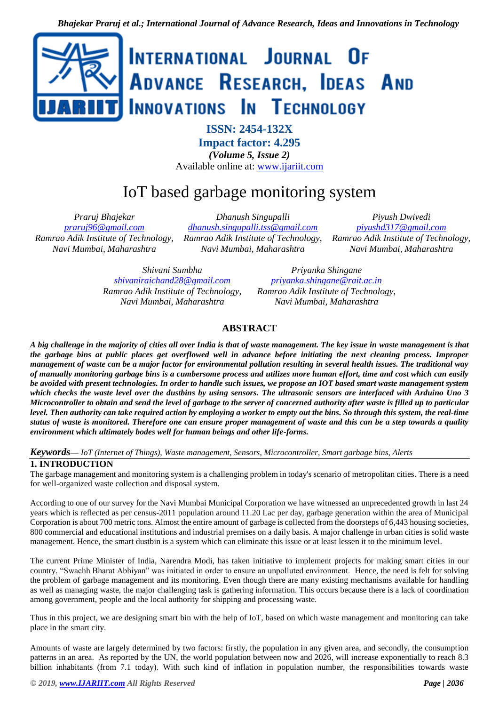

**ISSN: 2454-132X**

**Impact factor: 4.295**

*(Volume 5, Issue 2)* Available online at: [www.ijariit.com](https://www.ijariit.com/?utm_source=pdf&utm_medium=edition&utm_campaign=OmAkSols&utm_term=V5I2-2146)

# IoT based garbage monitoring system

*Praruj Bhajekar [praruj96@gmail.com](mailto:praruj96@gmail.com) Ramrao Adik Institute of Technology, Navi Mumbai, Maharashtra*

*Dhanush Singupalli [dhanush.singupalli.tss@gmail.com](mailto:dhanush.singupalli.tss@gmail.com) Ramrao Adik Institute of Technology, Navi Mumbai, Maharashtra*

*Piyush Dwivedi [piyushd317@gmail.com](mailto:piyushd317@gmail.com) Ramrao Adik Institute of Technology, Navi Mumbai, Maharashtra*

*Shivani Sumbha [shivaniraichand28@gmail.com](mailto:shivaniraichand28@gmail.com) Ramrao Adik Institute of Technology, Navi Mumbai, Maharashtra*

*Priyanka Shingane [priyanka.shingane@rait.ac.in](mailto:priyanka.shingane@rait.ac.in) Ramrao Adik Institute of Technology, Navi Mumbai, Maharashtra*

## **ABSTRACT**

*A big challenge in the majority of cities all over India is that of waste management. The key issue in waste management is that the garbage bins at public places get overflowed well in advance before initiating the next cleaning process. Improper management of waste can be a major factor for environmental pollution resulting in several health issues. The traditional way of manually monitoring garbage bins is a cumbersome process and utilizes more human effort, time and cost which can easily be avoided with present technologies. In order to handle such issues, we propose an IOT based smart waste management system which checks the waste level over the dustbins by using sensors. The ultrasonic sensors are interfaced with Arduino Uno 3 Microcontroller to obtain and send the level of garbage to the server of concerned authority after waste is filled up to particular level. Then authority can take required action by employing a worker to empty out the bins. So through this system, the real-time status of waste is monitored. Therefore one can ensure proper management of waste and this can be a step towards a quality environment which ultimately bodes well for human beings and other life-forms.*

*Keywords— IoT (Internet of Things), Waste management, Sensors, Microcontroller, Smart garbage bins, Alerts*

## **1. INTRODUCTION**

The garbage management and monitoring system is a challenging problem in today's scenario of metropolitan cities. There is a need for well-organized waste collection and disposal system.

According to one of our survey for the Navi Mumbai Municipal Corporation we have witnessed an unprecedented growth in last 24 years which is reflected as per census-2011 population around 11.20 Lac per day, garbage generation within the area of Municipal Corporation is about 700 metric tons. Almost the entire amount of garbage is collected from the doorsteps of 6,443 housing societies, 800 commercial and educational institutions and industrial premises on a daily basis. A major challenge in urban cities is solid waste management. Hence, the smart dustbin is a system which can eliminate this issue or at least lessen it to the minimum level.

The current Prime Minister of India, Narendra Modi, has taken initiative to implement projects for making smart cities in our country. "Swachh Bharat Abhiyan" was initiated in order to ensure an unpolluted environment. Hence, the need is felt for solving the problem of garbage management and its monitoring. Even though there are many existing mechanisms available for handling as well as managing waste, the major challenging task is gathering information. This occurs because there is a lack of coordination among government, people and the local authority for shipping and processing waste.

Thus in this project, we are designing smart bin with the help of IoT, based on which waste management and monitoring can take place in the smart city.

Amounts of waste are largely determined by two factors: firstly, the population in any given area, and secondly, the consumption patterns in an area. As reported by the UN, the world population between now and 2026, will increase exponentially to reach 8.3 billion inhabitants (from 7.1 today). With such kind of inflation in population number, the responsibilities towards waste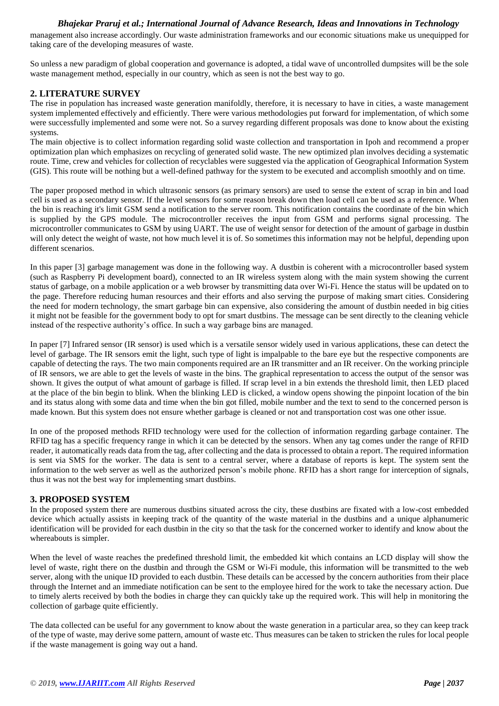## *Bhajekar Praruj et al.; International Journal of Advance Research, Ideas and Innovations in Technology*

management also increase accordingly. Our waste administration frameworks and our economic situations make us unequipped for taking care of the developing measures of waste.

So unless a new paradigm of global cooperation and governance is adopted, a tidal wave of uncontrolled dumpsites will be the sole waste management method, especially in our country, which as seen is not the best way to go.

## **2. LITERATURE SURVEY**

The rise in population has increased waste generation manifoldly, therefore, it is necessary to have in cities, a waste management system implemented effectively and efficiently. There were various methodologies put forward for implementation, of which some were successfully implemented and some were not. So a survey regarding different proposals was done to know about the existing systems.

The main objective is to collect information regarding solid waste collection and transportation in Ipoh and recommend a proper optimization plan which emphasizes on recycling of generated solid waste. The new optimized plan involves deciding a systematic route. Time, crew and vehicles for collection of recyclables were suggested via the application of Geographical Information System (GIS). This route will be nothing but a well-defined pathway for the system to be executed and accomplish smoothly and on time.

The paper proposed method in which ultrasonic sensors (as primary sensors) are used to sense the extent of scrap in bin and load cell is used as a secondary sensor. If the level sensors for some reason break down then load cell can be used as a reference. When the bin is reaching it's limit GSM send a notification to the server room. This notification contains the coordinate of the bin which is supplied by the GPS module. The microcontroller receives the input from GSM and performs signal processing. The microcontroller communicates to GSM by using UART. The use of weight sensor for detection of the amount of garbage in dustbin will only detect the weight of waste, not how much level it is of. So sometimes this information may not be helpful, depending upon different scenarios.

In this paper [3] garbage management was done in the following way. A dustbin is coherent with a microcontroller based system (such as Raspberry Pi development board), connected to an IR wireless system along with the main system showing the current status of garbage, on a mobile application or a web browser by transmitting data over Wi-Fi. Hence the status will be updated on to the page. Therefore reducing human resources and their efforts and also serving the purpose of making smart cities. Considering the need for modern technology, the smart garbage bin can expensive, also considering the amount of dustbin needed in big cities it might not be feasible for the government body to opt for smart dustbins. The message can be sent directly to the cleaning vehicle instead of the respective authority's office. In such a way garbage bins are managed.

In paper [7] Infrared sensor (IR sensor) is used which is a versatile sensor widely used in various applications, these can detect the level of garbage. The IR sensors emit the light, such type of light is impalpable to the bare eye but the respective components are capable of detecting the rays. The two main components required are an IR transmitter and an IR receiver. On the working principle of IR sensors, we are able to get the levels of waste in the bins. The graphical representation to access the output of the sensor was shown. It gives the output of what amount of garbage is filled. If scrap level in a bin extends the threshold limit, then LED placed at the place of the bin begin to blink. When the blinking LED is clicked, a window opens showing the pinpoint location of the bin and its status along with some data and time when the bin got filled, mobile number and the text to send to the concerned person is made known. But this system does not ensure whether garbage is cleaned or not and transportation cost was one other issue.

In one of the proposed methods RFID technology were used for the collection of information regarding garbage container. The RFID tag has a specific frequency range in which it can be detected by the sensors. When any tag comes under the range of RFID reader, it automatically reads data from the tag, after collecting and the data is processed to obtain a report. The required information is sent via SMS for the worker. The data is sent to a central server, where a database of reports is kept. The system sent the information to the web server as well as the authorized person's mobile phone. RFID has a short range for interception of signals, thus it was not the best way for implementing smart dustbins.

#### **3. PROPOSED SYSTEM**

In the proposed system there are numerous dustbins situated across the city, these dustbins are fixated with a low-cost embedded device which actually assists in keeping track of the quantity of the waste material in the dustbins and a unique alphanumeric identification will be provided for each dustbin in the city so that the task for the concerned worker to identify and know about the whereabouts is simpler.

When the level of waste reaches the predefined threshold limit, the embedded kit which contains an LCD display will show the level of waste, right there on the dustbin and through the GSM or Wi-Fi module, this information will be transmitted to the web server, along with the unique ID provided to each dustbin. These details can be accessed by the concern authorities from their place through the Internet and an immediate notification can be sent to the employee hired for the work to take the necessary action. Due to timely alerts received by both the bodies in charge they can quickly take up the required work. This will help in monitoring the collection of garbage quite efficiently.

The data collected can be useful for any government to know about the waste generation in a particular area, so they can keep track of the type of waste, may derive some pattern, amount of waste etc. Thus measures can be taken to stricken the rules for local people if the waste management is going way out a hand.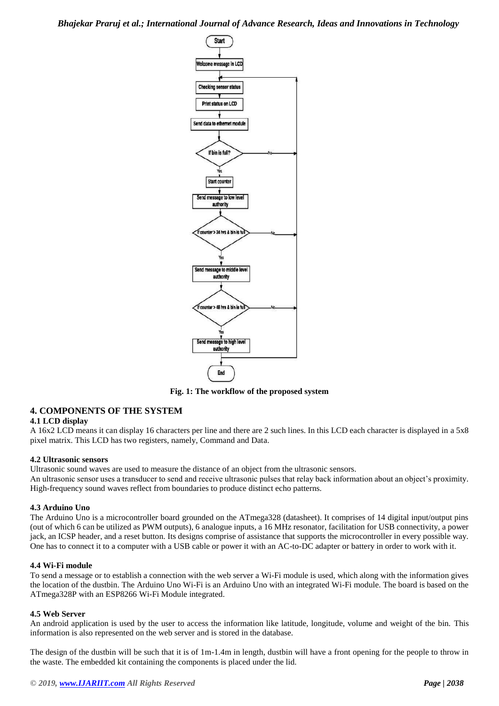*Bhajekar Praruj et al.; International Journal of Advance Research, Ideas and Innovations in Technology*



**Fig. 1: The workflow of the proposed system**

## **4. COMPONENTS OF THE SYSTEM**

#### **4.1 LCD display**

A 16x2 LCD means it can display 16 characters per line and there are 2 such lines. In this LCD each character is displayed in a 5x8 pixel matrix. This LCD has two registers, namely, Command and Data.

#### **4.2 Ultrasonic sensors**

Ultrasonic sound waves are used to measure the distance of an object from the ultrasonic sensors. An ultrasonic sensor uses a transducer to send and receive ultrasonic pulses that relay back information about an object's proximity. High-frequency sound waves reflect from boundaries to produce distinct echo patterns.

#### **4.3 Arduino Uno**

The Arduino Uno is a microcontroller board grounded on the ATmega328 (datasheet). It comprises of 14 digital input/output pins (out of which 6 can be utilized as PWM outputs), 6 analogue inputs, a 16 MHz resonator, facilitation for USB connectivity, a power jack, an ICSP header, and a reset button. Its designs comprise of assistance that supports the microcontroller in every possible way. One has to connect it to a computer with a USB cable or power it with an AC-to-DC adapter or battery in order to work with it.

#### **4.4 Wi-Fi module**

To send a message or to establish a connection with the web server a Wi-Fi module is used, which along with the information gives the location of the dustbin. The Arduino Uno Wi-Fi is an Arduino Uno with an integrated Wi-Fi module. The board is based on the ATmega328P with an ESP8266 Wi-Fi Module integrated.

#### **4.5 Web Server**

An android application is used by the user to access the information like latitude, longitude, volume and weight of the bin. This information is also represented on the web server and is stored in the database.

The design of the dustbin will be such that it is of 1m-1.4m in length, dustbin will have a front opening for the people to throw in the waste. The embedded kit containing the components is placed under the lid.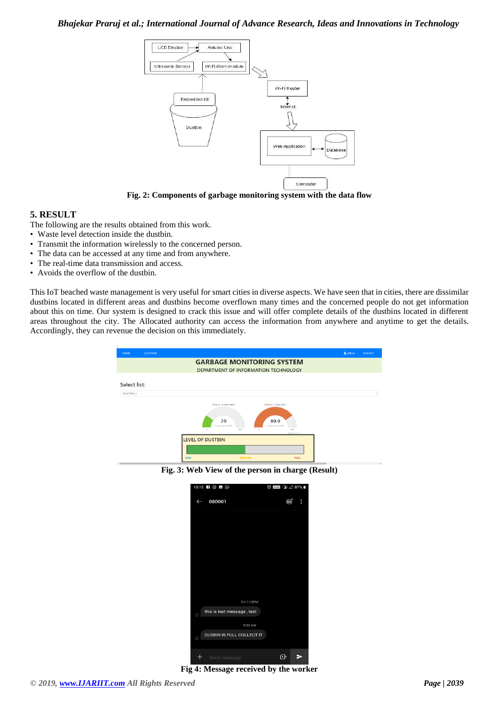## *Bhajekar Praruj et al.; International Journal of Advance Research, Ideas and Innovations in Technology*



**Fig. 2: Components of garbage monitoring system with the data flow**

#### **5. RESULT**

The following are the results obtained from this work.

- Waste level detection inside the dustbin.
- Transmit the information wirelessly to the concerned person.
- The data can be accessed at any time and from anywhere.
- The real-time data transmission and access.
- Avoids the overflow of the dustbin.

This IoT beached waste management is very useful for smart cities in diverse aspects. We have seen that in cities, there are dissimilar dustbins located in different areas and dustbins become overflown many times and the concerned people do not get information about this on time. Our system is designed to crack this issue and will offer complete details of the dustbins located in different areas throughout the city. The Allocated authority can access the information from anywhere and anytime to get the details. Accordingly, they can revenue the decision on this immediately.

| <b>HOME</b>  | <b>LOCATION</b>         |                                                                                                                                                                | & officer | LOGOUT |  |
|--------------|-------------------------|----------------------------------------------------------------------------------------------------------------------------------------------------------------|-----------|--------|--|
|              |                         | <b>GARBAGE MONITORING SYSTEM</b><br>DEPARTMENT OF INFORMATION TECHNOLOGY                                                                                       |           |        |  |
| Select list: |                         |                                                                                                                                                                |           |        |  |
| DUSTBIN_1    |                         |                                                                                                                                                                |           | ٠      |  |
|              |                         | SENSOR-ULTRASONICI<br>SENSOR ULTRASONIC2<br>20<br>80.0<br>CapacityLevel(%)<br>Capacityl evel(50)<br>100<br>$\alpha$<br>100<br>$\circ$<br><b>Highsharts.com</b> |           |        |  |
|              | <b>LEVEL OF DUSTBIN</b> |                                                                                                                                                                |           |        |  |
| c III        |                         | <b>MEDIUM</b><br><b>FULL</b><br>LOW                                                                                                                            |           |        |  |

**Fig. 3: Web View of the person in charge (Result)**

|                                       | 10:10 日回日 9                | ◎ 四日 2 2 87% |   |
|---------------------------------------|----------------------------|--------------|---|
| $\leftarrow$                          | 080001                     | ⊜            | E |
|                                       |                            |              |   |
|                                       |                            |              |   |
|                                       |                            |              |   |
|                                       |                            |              |   |
|                                       |                            |              |   |
|                                       |                            |              |   |
|                                       | Fri 1:15PM                 |              |   |
| $\begin{array}{c} \hline \end{array}$ | this is test message, test |              |   |
|                                       | 9:32 AM                    |              |   |
| $\Box$                                | DUSBIN IS FULL COLLECT IT  |              |   |
|                                       | Send message               | ∩⊧           | ∍ |

**Fig 4: Message received by the worker**